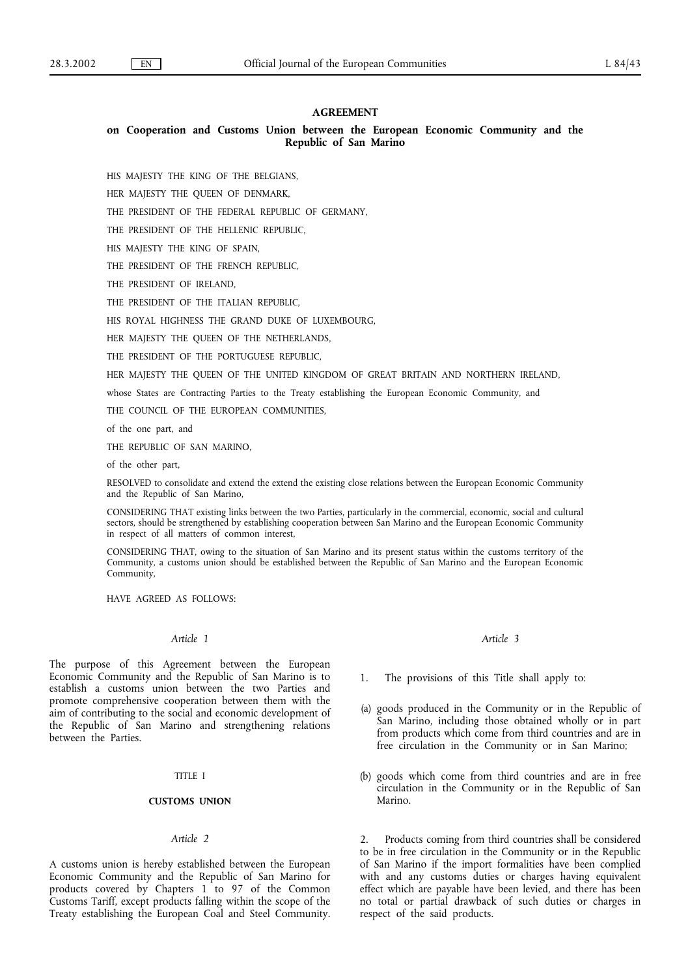### **AGREEMENT**

# **on Cooperation and Customs Union between the European Economic Community and the Republic of San Marino**

HIS MAJESTY THE KING OF THE BELGIANS,

HER MAJESTY THE QUEEN OF DENMARK,

THE PRESIDENT OF THE FEDERAL REPUBLIC OF GERMANY,

THE PRESIDENT OF THE HELLENIC REPUBLIC,

HIS MAJESTY THE KING OF SPAIN,

THE PRESIDENT OF THE FRENCH REPUBLIC,

THE PRESIDENT OF IRELAND,

THE PRESIDENT OF THE ITALIAN REPUBLIC,

HIS ROYAL HIGHNESS THE GRAND DUKE OF LUXEMBOURG,

HER MAJESTY THE QUEEN OF THE NETHERLANDS,

THE PRESIDENT OF THE PORTUGUESE REPUBLIC,

HER MAJESTY THE QUEEN OF THE UNITED KINGDOM OF GREAT BRITAIN AND NORTHERN IRELAND,

whose States are Contracting Parties to the Treaty establishing the European Economic Community, and

THE COUNCIL OF THE EUROPEAN COMMUNITIES,

of the one part, and

THE REPUBLIC OF SAN MARINO,

of the other part,

RESOLVED to consolidate and extend the extend the existing close relations between the European Economic Community and the Republic of San Marino,

CONSIDERING THAT existing links between the two Parties, particularly in the commercial, economic, social and cultural sectors, should be strengthened by establishing cooperation between San Marino and the European Economic Community in respect of all matters of common interest,

CONSIDERING THAT, owing to the situation of San Marino and its present status within the customs territory of the Community, a customs union should be established between the Republic of San Marino and the European Economic Community,

HAVE AGREED AS FOLLOWS:

### *Article 1*

The purpose of this Agreement between the European Economic Community and the Republic of San Marino is to establish a customs union between the two Parties and promote comprehensive cooperation between them with the aim of contributing to the social and economic development of the Republic of San Marino and strengthening relations between the Parties.

#### TITLE I

#### **CUSTOMS UNION**

#### *Article 2*

A customs union is hereby established between the European Economic Community and the Republic of San Marino for products covered by Chapters 1 to 97 of the Common Customs Tariff, except products falling within the scope of the Treaty establishing the European Coal and Steel Community.

*Article 3*

- 1. The provisions of this Title shall apply to:
- (a) goods produced in the Community or in the Republic of San Marino, including those obtained wholly or in part from products which come from third countries and are in free circulation in the Community or in San Marino;
- (b) goods which come from third countries and are in free circulation in the Community or in the Republic of San Marino.

2. Products coming from third countries shall be considered to be in free circulation in the Community or in the Republic of San Marino if the import formalities have been complied with and any customs duties or charges having equivalent effect which are payable have been levied, and there has been no total or partial drawback of such duties or charges in respect of the said products.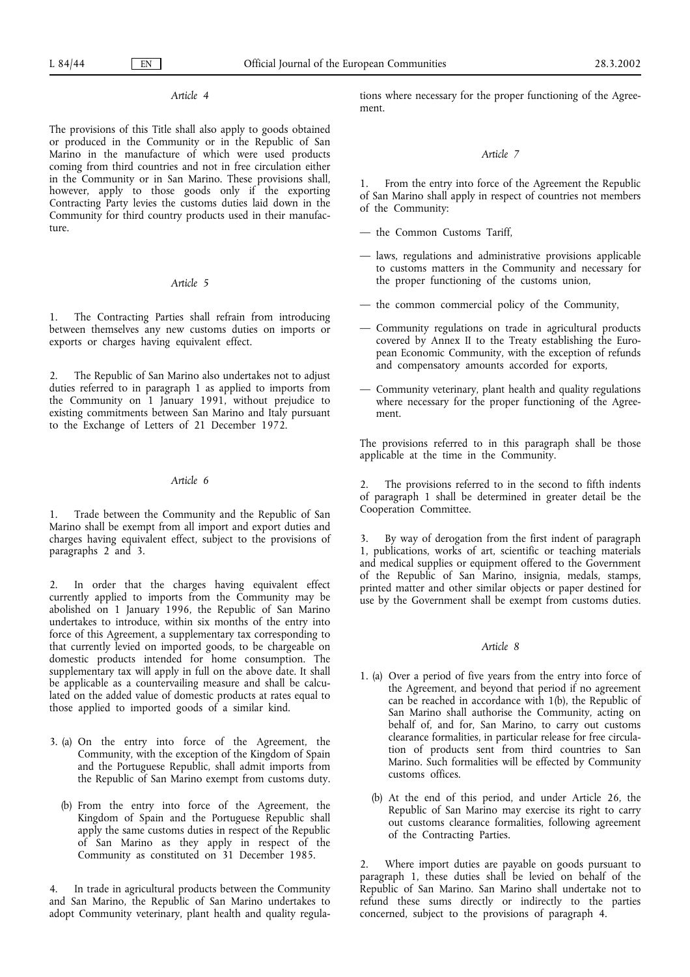# *Article 4*

The provisions of this Title shall also apply to goods obtained or produced in the Community or in the Republic of San Marino in the manufacture of which were used products coming from third countries and not in free circulation either in the Community or in San Marino. These provisions shall, however, apply to those goods only if the exporting Contracting Party levies the customs duties laid down in the Community for third country products used in their manufacture.

### *Article 5*

1. The Contracting Parties shall refrain from introducing between themselves any new customs duties on imports or exports or charges having equivalent effect.

2. The Republic of San Marino also undertakes not to adjust duties referred to in paragraph 1 as applied to imports from the Community on 1 January 1991, without prejudice to existing commitments between San Marino and Italy pursuant to the Exchange of Letters of 21 December 1972.

### *Article 6*

1. Trade between the Community and the Republic of San Marino shall be exempt from all import and export duties and charges having equivalent effect, subject to the provisions of paragraphs 2 and 3.

2. In order that the charges having equivalent effect currently applied to imports from the Community may be abolished on 1 January 1996, the Republic of San Marino undertakes to introduce, within six months of the entry into force of this Agreement, a supplementary tax corresponding to that currently levied on imported goods, to be chargeable on domestic products intended for home consumption. The supplementary tax will apply in full on the above date. It shall be applicable as a countervailing measure and shall be calculated on the added value of domestic products at rates equal to those applied to imported goods of a similar kind.

- 3. (a) On the entry into force of the Agreement, the Community, with the exception of the Kingdom of Spain and the Portuguese Republic, shall admit imports from the Republic of San Marino exempt from customs duty.
	- (b) From the entry into force of the Agreement, the Kingdom of Spain and the Portuguese Republic shall apply the same customs duties in respect of the Republic of San Marino as they apply in respect of the Community as constituted on 31 December 1985.

4. In trade in agricultural products between the Community and San Marino, the Republic of San Marino undertakes to adopt Community veterinary, plant health and quality regulations where necessary for the proper functioning of the Agreement.

#### *Article 7*

1. From the entry into force of the Agreement the Republic of San Marino shall apply in respect of countries not members of the Community:

- the Common Customs Tariff,
- laws, regulations and administrative provisions applicable to customs matters in the Community and necessary for the proper functioning of the customs union,
- the common commercial policy of the Community,
- Community regulations on trade in agricultural products covered by Annex II to the Treaty establishing the European Economic Community, with the exception of refunds and compensatory amounts accorded for exports,
- Community veterinary, plant health and quality regulations where necessary for the proper functioning of the Agreement.

The provisions referred to in this paragraph shall be those applicable at the time in the Community.

The provisions referred to in the second to fifth indents of paragraph 1 shall be determined in greater detail be the Cooperation Committee.

3. By way of derogation from the first indent of paragraph 1, publications, works of art, scientific or teaching materials and medical supplies or equipment offered to the Government of the Republic of San Marino, insignia, medals, stamps, printed matter and other similar objects or paper destined for use by the Government shall be exempt from customs duties.

### *Article 8*

- 1. (a) Over a period of five years from the entry into force of the Agreement, and beyond that period if no agreement can be reached in accordance with 1(b), the Republic of San Marino shall authorise the Community, acting on behalf of, and for, San Marino, to carry out customs clearance formalities, in particular release for free circulation of products sent from third countries to San Marino. Such formalities will be effected by Community customs offices.
	- (b) At the end of this period, and under Article 26, the Republic of San Marino may exercise its right to carry out customs clearance formalities, following agreement of the Contracting Parties.

2. Where import duties are payable on goods pursuant to paragraph 1, these duties shall be levied on behalf of the Republic of San Marino. San Marino shall undertake not to refund these sums directly or indirectly to the parties concerned, subject to the provisions of paragraph 4.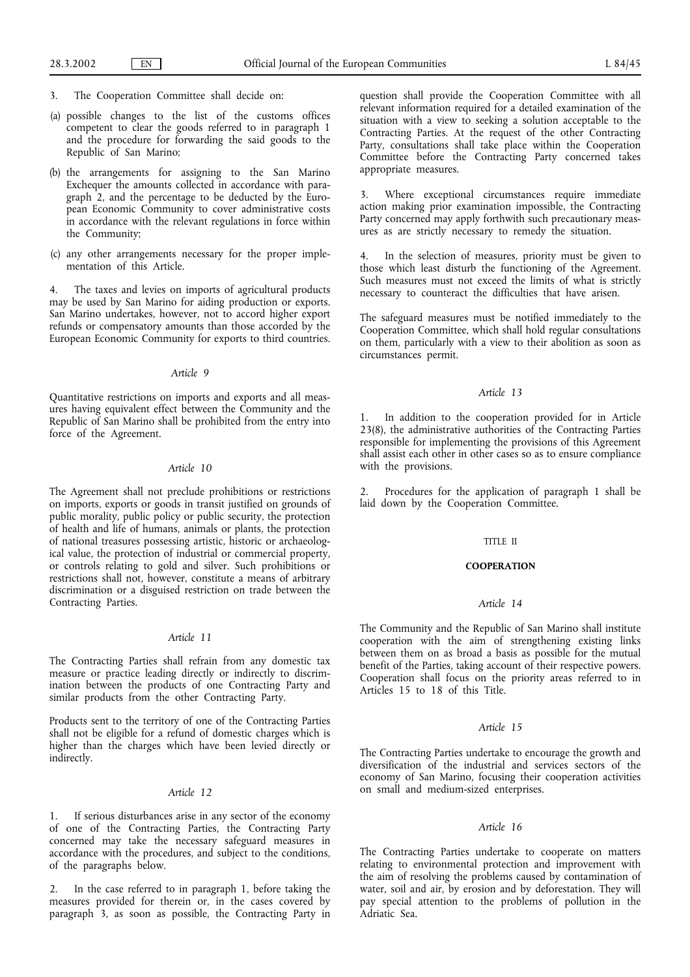- 3. The Cooperation Committee shall decide on:
- (a) possible changes to the list of the customs offices competent to clear the goods referred to in paragraph 1 and the procedure for forwarding the said goods to the Republic of San Marino;
- (b) the arrangements for assigning to the San Marino Exchequer the amounts collected in accordance with paragraph 2, and the percentage to be deducted by the European Economic Community to cover administrative costs in accordance with the relevant regulations in force within the Community;
- (c) any other arrangements necessary for the proper implementation of this Article.

The taxes and levies on imports of agricultural products may be used by San Marino for aiding production or exports. San Marino undertakes, however, not to accord higher export refunds or compensatory amounts than those accorded by the European Economic Community for exports to third countries.

### *Article 9*

Quantitative restrictions on imports and exports and all measures having equivalent effect between the Community and the Republic of San Marino shall be prohibited from the entry into force of the Agreement.

#### *Article 10*

The Agreement shall not preclude prohibitions or restrictions on imports, exports or goods in transit justified on grounds of public morality, public policy or public security, the protection of health and life of humans, animals or plants, the protection of national treasures possessing artistic, historic or archaeological value, the protection of industrial or commercial property, or controls relating to gold and silver. Such prohibitions or restrictions shall not, however, constitute a means of arbitrary discrimination or a disguised restriction on trade between the Contracting Parties.

#### *Article 11*

The Contracting Parties shall refrain from any domestic tax measure or practice leading directly or indirectly to discrimination between the products of one Contracting Party and similar products from the other Contracting Party.

Products sent to the territory of one of the Contracting Parties shall not be eligible for a refund of domestic charges which is higher than the charges which have been levied directly or indirectly.

# *Article 12*

1. If serious disturbances arise in any sector of the economy of one of the Contracting Parties, the Contracting Party concerned may take the necessary safeguard measures in accordance with the procedures, and subject to the conditions, of the paragraphs below.

2. In the case referred to in paragraph 1, before taking the measures provided for therein or, in the cases covered by paragraph 3, as soon as possible, the Contracting Party in question shall provide the Cooperation Committee with all relevant information required for a detailed examination of the situation with a view to seeking a solution acceptable to the Contracting Parties. At the request of the other Contracting Party, consultations shall take place within the Cooperation Committee before the Contracting Party concerned takes appropriate measures.

3. Where exceptional circumstances require immediate action making prior examination impossible, the Contracting Party concerned may apply forthwith such precautionary measures as are strictly necessary to remedy the situation.

4. In the selection of measures, priority must be given to those which least disturb the functioning of the Agreement. Such measures must not exceed the limits of what is strictly necessary to counteract the difficulties that have arisen.

The safeguard measures must be notified immediately to the Cooperation Committee, which shall hold regular consultations on them, particularly with a view to their abolition as soon as circumstances permit.

### *Article 13*

1. In addition to the cooperation provided for in Article 23(8), the administrative authorities of the Contracting Parties responsible for implementing the provisions of this Agreement shall assist each other in other cases so as to ensure compliance with the provisions.

Procedures for the application of paragraph 1 shall be laid down by the Cooperation Committee.

### TITLE II

#### **COOPERATION**

# *Article 14*

The Community and the Republic of San Marino shall institute cooperation with the aim of strengthening existing links between them on as broad a basis as possible for the mutual benefit of the Parties, taking account of their respective powers. Cooperation shall focus on the priority areas referred to in Articles 15 to 18 of this Title.

#### *Article 15*

The Contracting Parties undertake to encourage the growth and diversification of the industrial and services sectors of the economy of San Marino, focusing their cooperation activities on small and medium-sized enterprises.

#### *Article 16*

The Contracting Parties undertake to cooperate on matters relating to environmental protection and improvement with the aim of resolving the problems caused by contamination of water, soil and air, by erosion and by deforestation. They will pay special attention to the problems of pollution in the Adriatic Sea.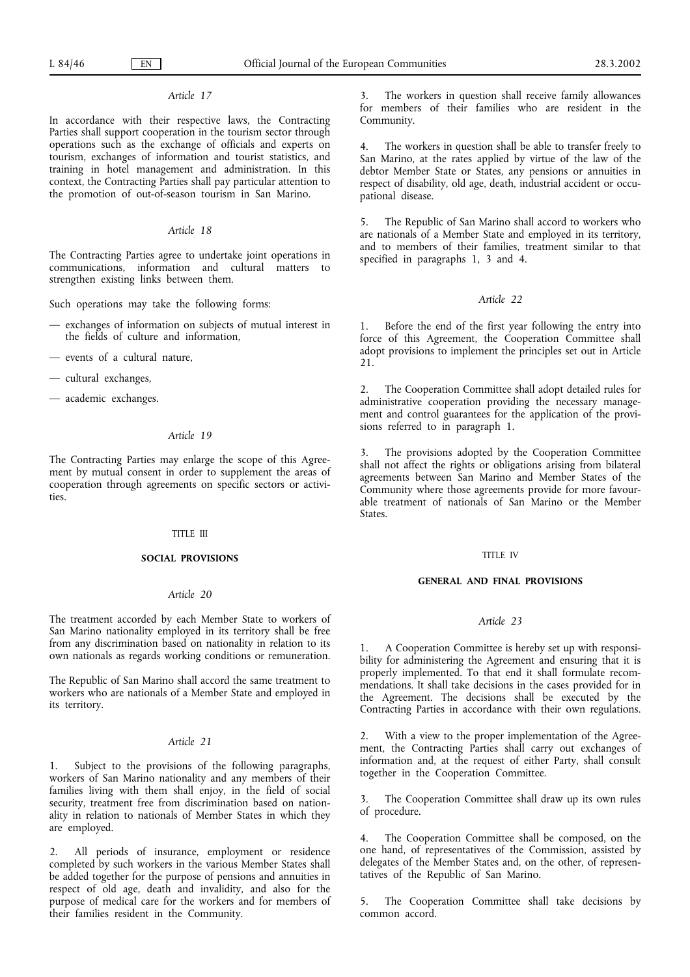# *Article 17*

In accordance with their respective laws, the Contracting Parties shall support cooperation in the tourism sector through operations such as the exchange of officials and experts on tourism, exchanges of information and tourist statistics, and training in hotel management and administration. In this context, the Contracting Parties shall pay particular attention to the promotion of out-of-season tourism in San Marino.

### *Article 18*

The Contracting Parties agree to undertake joint operations in communications, information and cultural matters to strengthen existing links between them.

Such operations may take the following forms:

- exchanges of information on subjects of mutual interest in the fields of culture and information,
- events of a cultural nature,
- cultural exchanges,
- academic exchanges.

### *Article 19*

The Contracting Parties may enlarge the scope of this Agreement by mutual consent in order to supplement the areas of cooperation through agreements on specific sectors or activities.

#### TITLE III

### **SOCIAL PROVISIONS**

# *Article 20*

The treatment accorded by each Member State to workers of San Marino nationality employed in its territory shall be free from any discrimination based on nationality in relation to its own nationals as regards working conditions or remuneration.

The Republic of San Marino shall accord the same treatment to workers who are nationals of a Member State and employed in its territory.

### *Article 21*

1. Subject to the provisions of the following paragraphs, workers of San Marino nationality and any members of their families living with them shall enjoy, in the field of social security, treatment free from discrimination based on nationality in relation to nationals of Member States in which they are employed.

2. All periods of insurance, employment or residence completed by such workers in the various Member States shall be added together for the purpose of pensions and annuities in respect of old age, death and invalidity, and also for the purpose of medical care for the workers and for members of their families resident in the Community.

The workers in question shall receive family allowances for members of their families who are resident in the Community.

4. The workers in question shall be able to transfer freely to San Marino, at the rates applied by virtue of the law of the debtor Member State or States, any pensions or annuities in respect of disability, old age, death, industrial accident or occupational disease.

5. The Republic of San Marino shall accord to workers who are nationals of a Member State and employed in its territory, and to members of their families, treatment similar to that specified in paragraphs 1, 3 and 4.

### *Article 22*

1. Before the end of the first year following the entry into force of this Agreement, the Cooperation Committee shall adopt provisions to implement the principles set out in Article 21.

2. The Cooperation Committee shall adopt detailed rules for administrative cooperation providing the necessary management and control guarantees for the application of the provisions referred to in paragraph 1.

3. The provisions adopted by the Cooperation Committee shall not affect the rights or obligations arising from bilateral agreements between San Marino and Member States of the Community where those agreements provide for more favourable treatment of nationals of San Marino or the Member States.

### TITLE IV

### **GENERAL AND FINAL PROVISIONS**

#### *Article 23*

1. A Cooperation Committee is hereby set up with responsibility for administering the Agreement and ensuring that it is properly implemented. To that end it shall formulate recommendations. It shall take decisions in the cases provided for in the Agreement. The decisions shall be executed by the Contracting Parties in accordance with their own regulations.

2. With a view to the proper implementation of the Agreement, the Contracting Parties shall carry out exchanges of information and, at the request of either Party, shall consult together in the Cooperation Committee.

The Cooperation Committee shall draw up its own rules of procedure.

4. The Cooperation Committee shall be composed, on the one hand, of representatives of the Commission, assisted by delegates of the Member States and, on the other, of representatives of the Republic of San Marino.

5. The Cooperation Committee shall take decisions by common accord.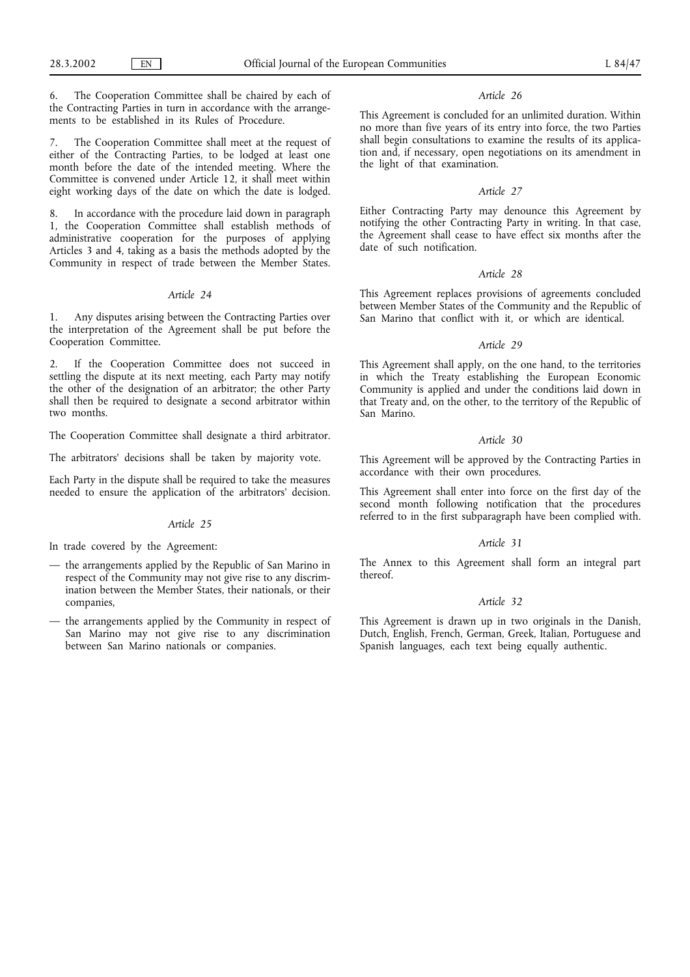6. The Cooperation Committee shall be chaired by each of the Contracting Parties in turn in accordance with the arrangements to be established in its Rules of Procedure.

The Cooperation Committee shall meet at the request of either of the Contracting Parties, to be lodged at least one month before the date of the intended meeting. Where the Committee is convened under Article 12, it shall meet within eight working days of the date on which the date is lodged.

8. In accordance with the procedure laid down in paragraph 1, the Cooperation Committee shall establish methods of administrative cooperation for the purposes of applying Articles 3 and 4, taking as a basis the methods adopted by the Community in respect of trade between the Member States.

#### *Article 24*

1. Any disputes arising between the Contracting Parties over the interpretation of the Agreement shall be put before the Cooperation Committee.

2. If the Cooperation Committee does not succeed in settling the dispute at its next meeting, each Party may notify the other of the designation of an arbitrator; the other Party shall then be required to designate a second arbitrator within two months.

The Cooperation Committee shall designate a third arbitrator.

The arbitrators' decisions shall be taken by majority vote.

Each Party in the dispute shall be required to take the measures needed to ensure the application of the arbitrators' decision.

#### *Article 25*

In trade covered by the Agreement:

- the arrangements applied by the Republic of San Marino in respect of the Community may not give rise to any discrimination between the Member States, their nationals, or their companies,
- the arrangements applied by the Community in respect of San Marino may not give rise to any discrimination between San Marino nationals or companies.

### *Article 26*

This Agreement is concluded for an unlimited duration. Within no more than five years of its entry into force, the two Parties shall begin consultations to examine the results of its application and, if necessary, open negotiations on its amendment in the light of that examination.

#### *Article 27*

Either Contracting Party may denounce this Agreement by notifying the other Contracting Party in writing. In that case, the Agreement shall cease to have effect six months after the date of such notification.

### *Article 28*

This Agreement replaces provisions of agreements concluded between Member States of the Community and the Republic of San Marino that conflict with it, or which are identical.

#### *Article 29*

This Agreement shall apply, on the one hand, to the territories in which the Treaty establishing the European Economic Community is applied and under the conditions laid down in that Treaty and, on the other, to the territory of the Republic of San Marino.

# *Article 30*

This Agreement will be approved by the Contracting Parties in accordance with their own procedures.

This Agreement shall enter into force on the first day of the second month following notification that the procedures referred to in the first subparagraph have been complied with.

#### *Article 31*

The Annex to this Agreement shall form an integral part thereof.

#### *Article 32*

This Agreement is drawn up in two originals in the Danish, Dutch, English, French, German, Greek, Italian, Portuguese and Spanish languages, each text being equally authentic.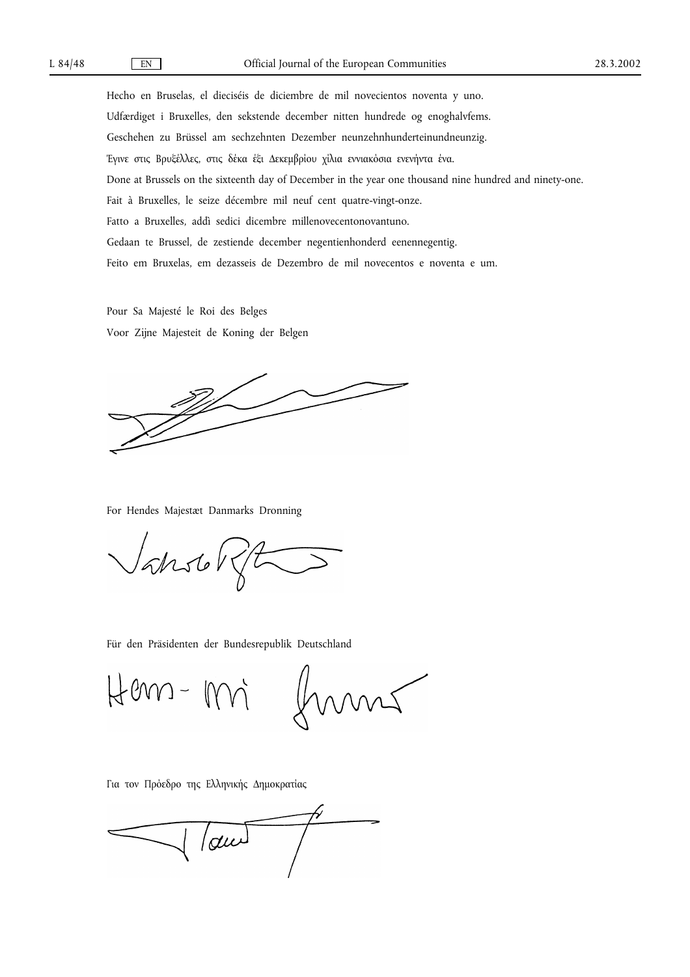Hecho en Bruselas, el dieciséis de diciembre de mil novecientos noventa y uno. Udfærdiget i Bruxelles, den sekstende december nitten hundrede og enoghalvfems. Geschehen zu Brüssel am sechzehnten Dezember neunzehnhunderteinundneunzig. Έγινε στις Βρυξέλλες, στις δέκα έξι ∆εκεµβρίου χίλια εννιακόσια ενενήντα ένα. Done at Brussels on the sixteenth day of December in the year one thousand nine hundred and ninety-one. Fait à Bruxelles, le seize décembre mil neuf cent quatre-vingt-onze. Fatto a Bruxelles, addì sedici dicembre millenovecentonovantuno. Gedaan te Brussel, de zestiende december negentienhonderd eenennegentig. Feito em Bruxelas, em dezasseis de Dezembro de mil novecentos e noventa e um.

Pour Sa Majesté le Roi des Belges Voor Zijne Majesteit de Koning der Belgen

For Hendes Majestæt Danmarks Dronning

Vansol

Für den Präsidenten der Bundesrepublik Deutschland

Hem-mi frans

Για τον Πρόεδρο της Ελληνικής ∆ηµοκρατίας

 $\int$  and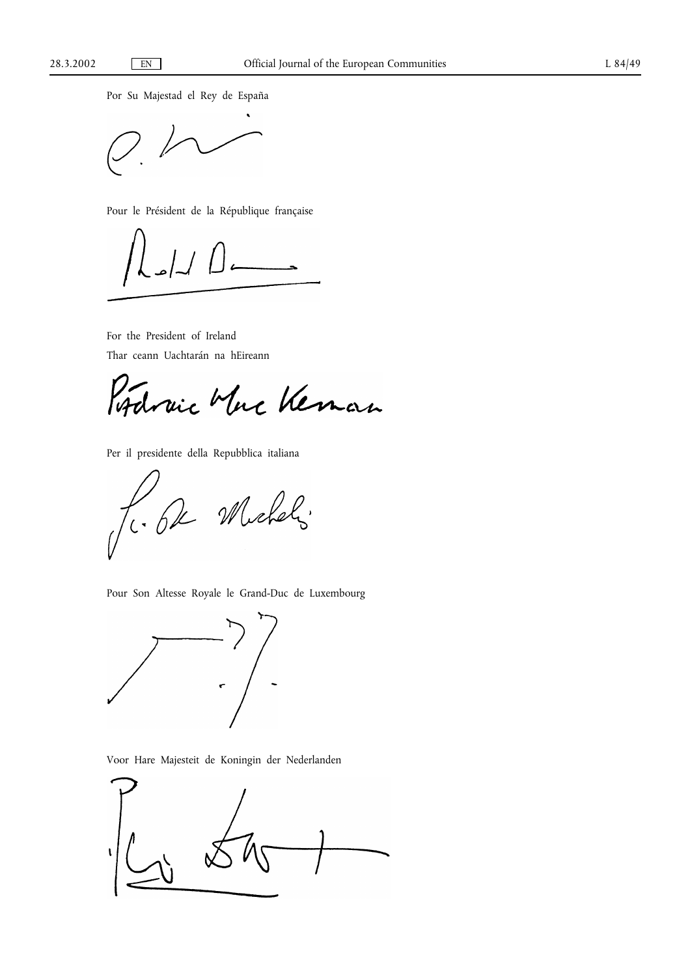Por Su Majestad el Rey de España

Pour le Président de la République française

For the President of Ireland Thar ceann Uachtarán na hEireann

Rodraic Mucheman

Per il presidente della Repubblica italiana

Jc. 62 Michels

Pour Son Altesse Royale le Grand-Duc de Luxembourg



Voor Hare Majesteit de Koningin der Nederlanden

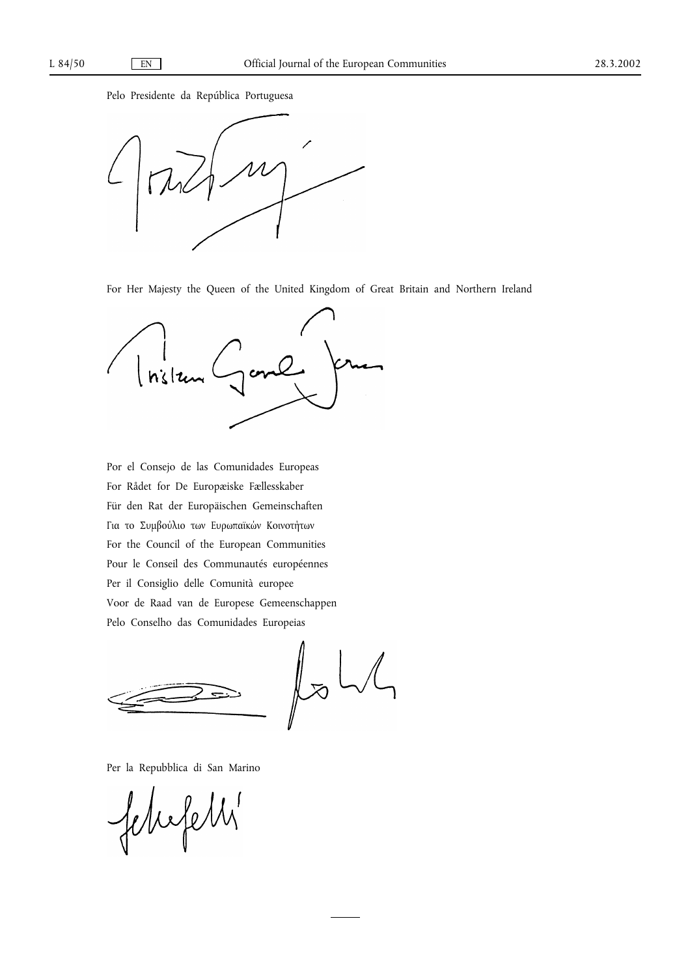Pelo Presidente da República Portuguesa



For Her Majesty the Queen of the United Kingdom of Great Britain and Northern Ireland



Por el Consejo de las Comunidades Europeas For Rådet for De Europæiske Fællesskaber Für den Rat der Europäischen Gemeinschaften Για το Συµβούλιο των Ευρωπαϊκών Κοινοτήτων For the Council of the European Communities Pour le Conseil des Communautés européennes Per il Consiglio delle Comunità europee Voor de Raad van de Europese Gemeenschappen Pelo Conselho das Comunidades Europeias

 $L_{\infty}$ 

Per la Repubblica di San Marino

febrofetts'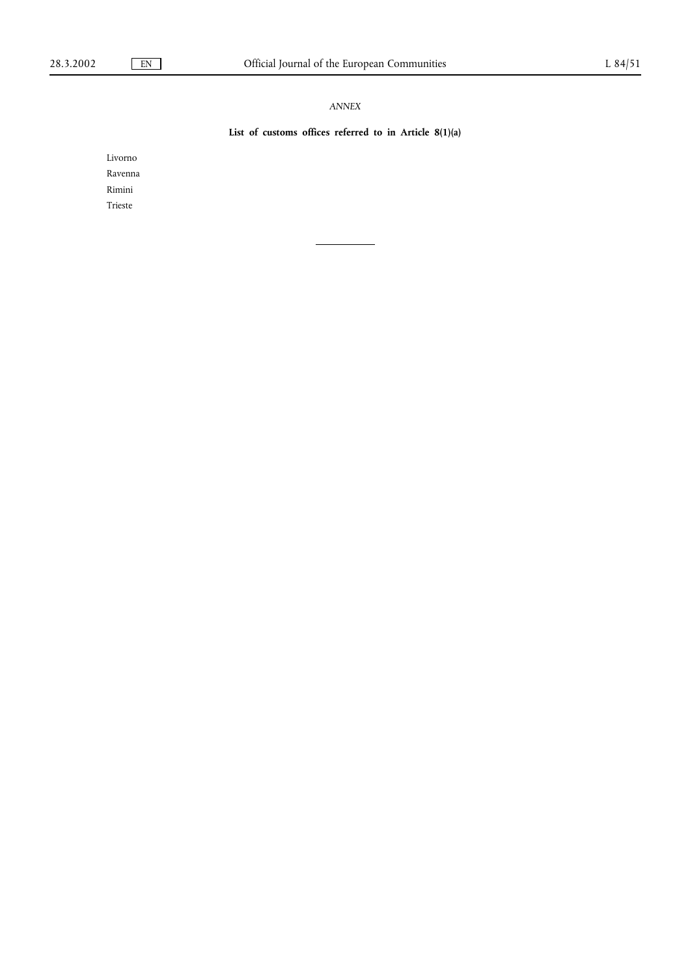# *ANNEX*

# **List of customs offices referred to in Article 8(1)(a)**

Livorno Ravenna Rimini Trieste